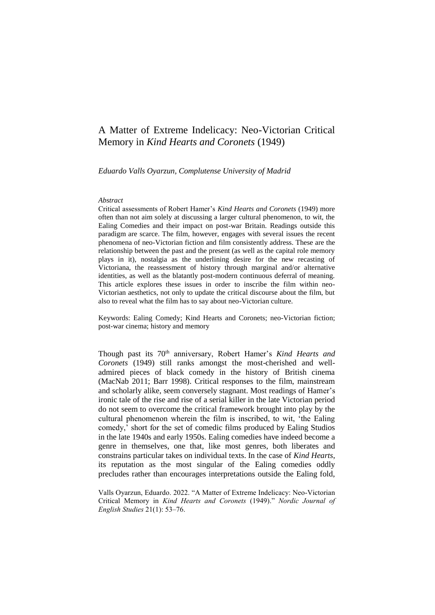# A Matter of Extreme Indelicacy: Neo-Victorian Critical Memory in *Kind Hearts and Coronets* (1949)

*Eduardo Valls Oyarzun, Complutense University of Madrid*

#### *Abstract*

Critical assessments of Robert Hamer's *Kind Hearts and Coronets* (1949) more often than not aim solely at discussing a larger cultural phenomenon, to wit, the Ealing Comedies and their impact on post-war Britain. Readings outside this paradigm are scarce. The film, however, engages with several issues the recent phenomena of neo-Victorian fiction and film consistently address. These are the relationship between the past and the present (as well as the capital role memory plays in it), nostalgia as the underlining desire for the new recasting of Victoriana, the reassessment of history through marginal and/or alternative identities, as well as the blatantly post-modern continuous deferral of meaning. This article explores these issues in order to inscribe the film within neo-Victorian aesthetics, not only to update the critical discourse about the film, but also to reveal what the film has to say about neo-Victorian culture.

Keywords: Ealing Comedy; Kind Hearts and Coronets; neo-Victorian fiction; post-war cinema; history and memory

Though past its 70<sup>th</sup> anniversary, Robert Hamer's *Kind Hearts and Coronets* (1949) still ranks amongst the most-cherished and welladmired pieces of black comedy in the history of British cinema (MacNab 2011; Barr 1998). Critical responses to the film, mainstream and scholarly alike, seem conversely stagnant. Most readings of Hamer's ironic tale of the rise and rise of a serial killer in the late Victorian period do not seem to overcome the critical framework brought into play by the cultural phenomenon wherein the film is inscribed, to wit, 'the Ealing comedy,' short for the set of comedic films produced by Ealing Studios in the late 1940s and early 1950s. Ealing comedies have indeed become a genre in themselves, one that, like most genres, both liberates and constrains particular takes on individual texts. In the case of *Kind Hearts*, its reputation as the most singular of the Ealing comedies oddly precludes rather than encourages interpretations outside the Ealing fold,

Valls Oyarzun, Eduardo. 2022. "A Matter of Extreme Indelicacy: Neo-Victorian Critical Memory in *Kind Hearts and Coronets* (1949)." *Nordic Journal of English Studies* 21(1): 53–76.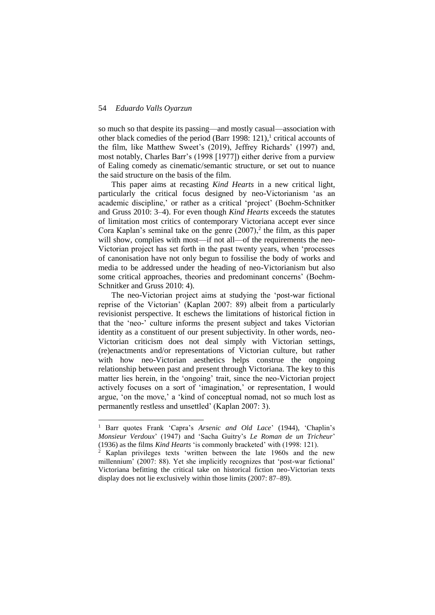-

so much so that despite its passing—and mostly casual—association with other black comedies of the period (Barr 1998: 121),<sup>1</sup> critical accounts of the film, like Matthew Sweet's (2019), Jeffrey Richards' (1997) and, most notably, Charles Barr's (1998 [1977]) either derive from a purview of Ealing comedy as cinematic/semantic structure, or set out to nuance the said structure on the basis of the film.

This paper aims at recasting *Kind Hearts* in a new critical light, particularly the critical focus designed by neo-Victorianism 'as an academic discipline,' or rather as a critical 'project' (Boehm-Schnitker and Gruss 2010: 3–4). For even though *Kind Hearts* exceeds the statutes of limitation most critics of contemporary Victoriana accept ever since Cora Kaplan's seminal take on the genre  $(2007)$ ,<sup>2</sup> the film, as this paper will show, complies with most—if not all—of the requirements the neo-Victorian project has set forth in the past twenty years, when 'processes of canonisation have not only begun to fossilise the body of works and media to be addressed under the heading of neo-Victorianism but also some critical approaches, theories and predominant concerns' (Boehm-Schnitker and Gruss 2010: 4).

The neo-Victorian project aims at studying the 'post-war fictional reprise of the Victorian' (Kaplan 2007: 89) albeit from a particularly revisionist perspective. It eschews the limitations of historical fiction in that the 'neo-' culture informs the present subject and takes Victorian identity as a constituent of our present subjectivity. In other words, neo-Victorian criticism does not deal simply with Victorian settings, (re)enactments and/or representations of Victorian culture, but rather with how neo-Victorian aesthetics helps construe the ongoing relationship between past and present through Victoriana. The key to this matter lies herein, in the 'ongoing' trait, since the neo-Victorian project actively focuses on a sort of 'imagination,' or representation, I would argue, 'on the move,' a 'kind of conceptual nomad, not so much lost as permanently restless and unsettled' (Kaplan 2007: 3).

<sup>&</sup>lt;sup>1</sup> Barr quotes Frank 'Capra's Arsenic and Old Lace' (1944), 'Chaplin's *Monsieur Verdoux*' (1947) and 'Sacha Guitry's *Le Roman de un Tricheur*' (1936) as the films *Kind Hearts* 'is commonly bracketed' with (1998: 121).

<sup>&</sup>lt;sup>2</sup> Kaplan privileges texts 'written between the late 1960s and the new millennium' (2007: 88). Yet she implicitly recognizes that 'post-war fictional' Victoriana befitting the critical take on historical fiction neo-Victorian texts display does not lie exclusively within those limits (2007: 87–89).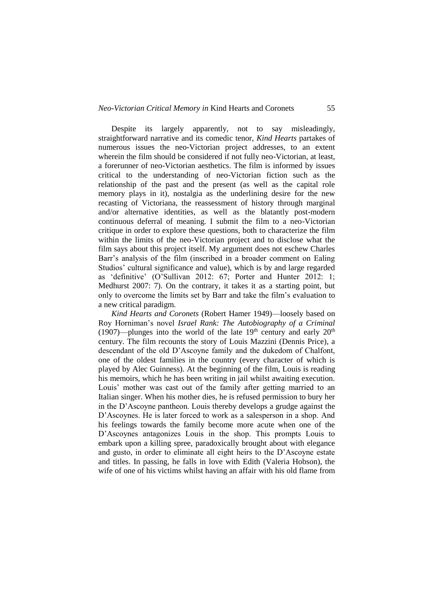Despite its largely apparently, not to say misleadingly, straightforward narrative and its comedic tenor, *Kind Hearts* partakes of numerous issues the neo-Victorian project addresses, to an extent wherein the film should be considered if not fully neo-Victorian, at least, a forerunner of neo-Victorian aesthetics. The film is informed by issues critical to the understanding of neo-Victorian fiction such as the relationship of the past and the present (as well as the capital role memory plays in it), nostalgia as the underlining desire for the new recasting of Victoriana, the reassessment of history through marginal and/or alternative identities, as well as the blatantly post-modern continuous deferral of meaning. I submit the film to a neo-Victorian critique in order to explore these questions, both to characterize the film within the limits of the neo-Victorian project and to disclose what the film says about this project itself. My argument does not eschew Charles Barr's analysis of the film (inscribed in a broader comment on Ealing Studios' cultural significance and value), which is by and large regarded as 'definitive' (O'Sullivan 2012: 67; Porter and Hunter 2012: 1; Medhurst 2007: 7). On the contrary, it takes it as a starting point, but only to overcome the limits set by Barr and take the film's evaluation to a new critical paradigm.

*Kind Hearts and Coronets* (Robert Hamer 1949)—loosely based on Roy Horniman's novel *Israel Rank: The Autobiography of a Criminal* (1907)—plunges into the world of the late  $19<sup>th</sup>$  century and early  $20<sup>th</sup>$ century. The film recounts the story of Louis Mazzini (Dennis Price), a descendant of the old D'Ascoyne family and the dukedom of Chalfont, one of the oldest families in the country (every character of which is played by Alec Guinness). At the beginning of the film, Louis is reading his memoirs, which he has been writing in jail whilst awaiting execution. Louis' mother was cast out of the family after getting married to an Italian singer. When his mother dies, he is refused permission to bury her in the D'Ascoyne pantheon. Louis thereby develops a grudge against the D'Ascoynes. He is later forced to work as a salesperson in a shop. And his feelings towards the family become more acute when one of the D'Ascoynes antagonizes Louis in the shop. This prompts Louis to embark upon a killing spree, paradoxically brought about with elegance and gusto, in order to eliminate all eight heirs to the D'Ascoyne estate and titles. In passing, he falls in love with Edith (Valeria Hobson), the wife of one of his victims whilst having an affair with his old flame from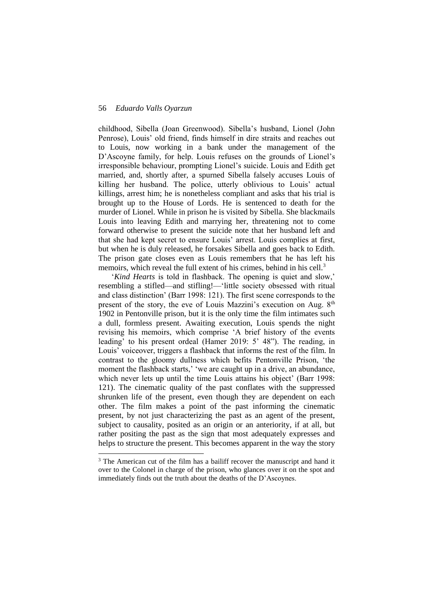1

childhood, Sibella (Joan Greenwood). Sibella's husband, Lionel (John Penrose), Louis' old friend, finds himself in dire straits and reaches out to Louis, now working in a bank under the management of the D'Ascoyne family, for help. Louis refuses on the grounds of Lionel's irresponsible behaviour, prompting Lionel's suicide. Louis and Edith get married, and, shortly after, a spurned Sibella falsely accuses Louis of killing her husband. The police, utterly oblivious to Louis' actual killings, arrest him; he is nonetheless compliant and asks that his trial is brought up to the House of Lords. He is sentenced to death for the murder of Lionel. While in prison he is visited by Sibella. She blackmails Louis into leaving Edith and marrying her, threatening not to come forward otherwise to present the suicide note that her husband left and that she had kept secret to ensure Louis' arrest. Louis complies at first, but when he is duly released, he forsakes Sibella and goes back to Edith. The prison gate closes even as Louis remembers that he has left his memoirs, which reveal the full extent of his crimes, behind in his cell.<sup>3</sup>

'*Kind Hearts* is told in flashback. The opening is quiet and slow,' resembling a stifled—and stifling!—'little society obsessed with ritual and class distinction' (Barr 1998: 121). The first scene corresponds to the present of the story, the eve of Louis Mazzini's execution on Aug. 8<sup>th</sup> 1902 in Pentonville prison, but it is the only time the film intimates such a dull, formless present. Awaiting execution, Louis spends the night revising his memoirs, which comprise 'A brief history of the events leading' to his present ordeal (Hamer 2019: 5' 48"). The reading, in Louis' voiceover, triggers a flashback that informs the rest of the film. In contrast to the gloomy dullness which befits Pentonville Prison, 'the moment the flashback starts,' 'we are caught up in a drive, an abundance, which never lets up until the time Louis attains his object' (Barr 1998: 121). The cinematic quality of the past conflates with the suppressed shrunken life of the present, even though they are dependent on each other. The film makes a point of the past informing the cinematic present, by not just characterizing the past as an agent of the present, subject to causality, posited as an origin or an anteriority, if at all, but rather positing the past as the sign that most adequately expresses and helps to structure the present. This becomes apparent in the way the story

<sup>&</sup>lt;sup>3</sup> The American cut of the film has a bailiff recover the manuscript and hand it over to the Colonel in charge of the prison, who glances over it on the spot and immediately finds out the truth about the deaths of the D'Ascoynes.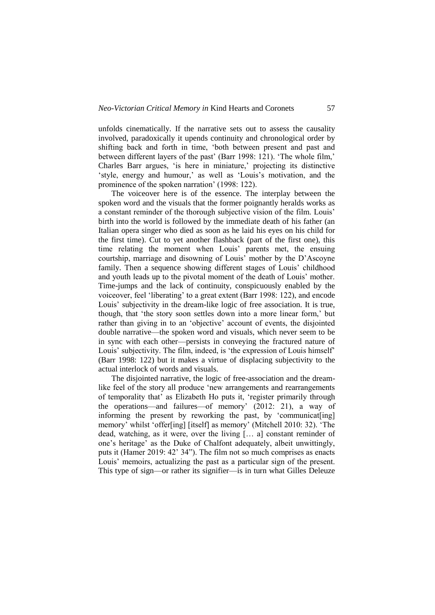unfolds cinematically. If the narrative sets out to assess the causality involved, paradoxically it upends continuity and chronological order by shifting back and forth in time, 'both between present and past and between different layers of the past' (Barr 1998: 121). 'The whole film,' Charles Barr argues, 'is here in miniature,' projecting its distinctive 'style, energy and humour,' as well as 'Louis's motivation, and the prominence of the spoken narration' (1998: 122).

The voiceover here is of the essence. The interplay between the spoken word and the visuals that the former poignantly heralds works as a constant reminder of the thorough subjective vision of the film. Louis' birth into the world is followed by the immediate death of his father (an Italian opera singer who died as soon as he laid his eyes on his child for the first time). Cut to yet another flashback (part of the first one), this time relating the moment when Louis' parents met, the ensuing courtship, marriage and disowning of Louis' mother by the D'Ascoyne family. Then a sequence showing different stages of Louis' childhood and youth leads up to the pivotal moment of the death of Louis' mother. Time-jumps and the lack of continuity, conspicuously enabled by the voiceover, feel 'liberating' to a great extent (Barr 1998: 122), and encode Louis' subjectivity in the dream-like logic of free association. It is true, though, that 'the story soon settles down into a more linear form,' but rather than giving in to an 'objective' account of events, the disjointed double narrative—the spoken word and visuals, which never seem to be in sync with each other—persists in conveying the fractured nature of Louis' subjectivity. The film, indeed, is 'the expression of Louis himself' (Barr 1998: 122) but it makes a virtue of displacing subjectivity to the actual interlock of words and visuals.

The disjointed narrative, the logic of free-association and the dreamlike feel of the story all produce 'new arrangements and rearrangements of temporality that' as Elizabeth Ho puts it, 'register primarily through the operations—and failures—of memory' (2012: 21), a way of informing the present by reworking the past, by 'communicat[ing] memory' whilst 'offer[ing] [itself] as memory' (Mitchell 2010: 32). 'The dead, watching, as it were, over the living [… a] constant reminder of one's heritage' as the Duke of Chalfont adequately, albeit unwittingly, puts it (Hamer 2019: 42' 34"). The film not so much comprises as enacts Louis' memoirs, actualizing the past as a particular sign of the present. This type of sign—or rather its signifier—is in turn what Gilles Deleuze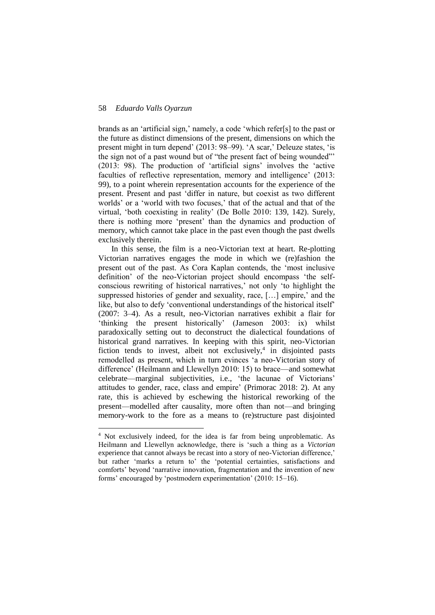1

brands as an 'artificial sign,' namely, a code 'which refer[s] to the past or the future as distinct dimensions of the present, dimensions on which the present might in turn depend' (2013: 98–99). 'A scar,' Deleuze states, 'is the sign not of a past wound but of "the present fact of being wounded"' (2013: 98). The production of 'artificial signs' involves the 'active faculties of reflective representation, memory and intelligence' (2013: 99), to a point wherein representation accounts for the experience of the present. Present and past 'differ in nature, but coexist as two different worlds' or a 'world with two focuses,' that of the actual and that of the virtual, 'both coexisting in reality' (De Bolle 2010: 139, 142). Surely, there is nothing more 'present' than the dynamics and production of memory, which cannot take place in the past even though the past dwells exclusively therein.

In this sense, the film is a neo-Victorian text at heart. Re-plotting Victorian narratives engages the mode in which we (re)fashion the present out of the past. As Cora Kaplan contends, the 'most inclusive definition' of the neo-Victorian project should encompass 'the selfconscious rewriting of historical narratives,' not only 'to highlight the suppressed histories of gender and sexuality, race, […] empire,' and the like, but also to defy 'conventional understandings of the historical itself' (2007: 3–4). As a result, neo-Victorian narratives exhibit a flair for 'thinking the present historically' (Jameson 2003: ix) whilst paradoxically setting out to deconstruct the dialectical foundations of historical grand narratives. In keeping with this spirit, neo-Victorian fiction tends to invest, albeit not exclusively, $4$  in disjointed pasts remodelled as present, which in turn evinces 'a neo-Victorian story of difference' (Heilmann and Llewellyn 2010: 15) to brace—and somewhat celebrate—marginal subjectivities, i.e., 'the lacunae of Victorians' attitudes to gender, race, class and empire' (Primorac 2018: 2). At any rate, this is achieved by eschewing the historical reworking of the present—modelled after causality, more often than not—and bringing memory-work to the fore as a means to (re)structure past disjointed

<sup>4</sup> Not exclusively indeed, for the idea is far from being unproblematic. As Heilmann and Llewellyn acknowledge, there is 'such a thing as a *Victorian* experience that cannot always be recast into a story of neo-Victorian difference,' but rather 'marks a return to' the 'potential certainties, satisfactions and comforts' beyond 'narrative innovation, fragmentation and the invention of new forms' encouraged by 'postmodern experimentation' (2010: 15–16).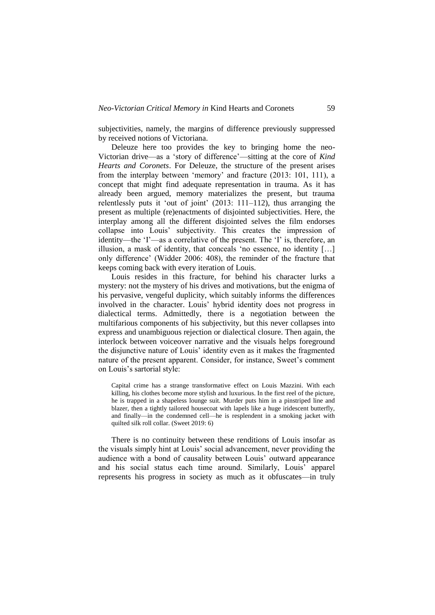subjectivities, namely, the margins of difference previously suppressed by received notions of Victoriana.

Deleuze here too provides the key to bringing home the neo-Victorian drive—as a 'story of difference'—sitting at the core of *Kind Hearts and Coronets*. For Deleuze, the structure of the present arises from the interplay between 'memory' and fracture (2013: 101, 111), a concept that might find adequate representation in trauma. As it has already been argued, memory materializes the present, but trauma relentlessly puts it 'out of joint' (2013: 111–112), thus arranging the present as multiple (re)enactments of disjointed subjectivities. Here, the interplay among all the different disjointed selves the film endorses collapse into Louis' subjectivity. This creates the impression of identity—the 'I'—as a correlative of the present. The 'I' is, therefore, an illusion, a mask of identity, that conceals 'no essence, no identity […] only difference' (Widder 2006: 408), the reminder of the fracture that keeps coming back with every iteration of Louis.

Louis resides in this fracture, for behind his character lurks a mystery: not the mystery of his drives and motivations, but the enigma of his pervasive, vengeful duplicity, which suitably informs the differences involved in the character. Louis' hybrid identity does not progress in dialectical terms. Admittedly, there is a negotiation between the multifarious components of his subjectivity, but this never collapses into express and unambiguous rejection or dialectical closure. Then again, the interlock between voiceover narrative and the visuals helps foreground the disjunctive nature of Louis' identity even as it makes the fragmented nature of the present apparent. Consider, for instance, Sweet's comment on Louis's sartorial style:

Capital crime has a strange transformative effect on Louis Mazzini. With each killing, his clothes become more stylish and luxurious. In the first reel of the picture, he is trapped in a shapeless lounge suit. Murder puts him in a pinstriped line and blazer, then a tightly tailored housecoat with lapels like a huge iridescent butterfly, and finally—in the condemned cell—he is resplendent in a smoking jacket with quilted silk roll collar. (Sweet 2019: 6)

There is no continuity between these renditions of Louis insofar as the visuals simply hint at Louis' social advancement, never providing the audience with a bond of causality between Louis' outward appearance and his social status each time around. Similarly, Louis' apparel represents his progress in society as much as it obfuscates—in truly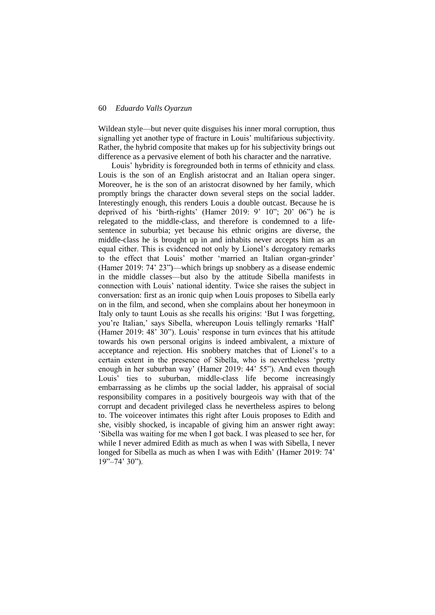Wildean style—but never quite disguises his inner moral corruption, thus signalling yet another type of fracture in Louis' multifarious subjectivity. Rather, the hybrid composite that makes up for his subjectivity brings out difference as a pervasive element of both his character and the narrative.

Louis' hybridity is foregrounded both in terms of ethnicity and class. Louis is the son of an English aristocrat and an Italian opera singer. Moreover, he is the son of an aristocrat disowned by her family, which promptly brings the character down several steps on the social ladder. Interestingly enough, this renders Louis a double outcast. Because he is deprived of his 'birth-rights' (Hamer 2019: 9' 10"; 20' 06") he is relegated to the middle-class, and therefore is condemned to a lifesentence in suburbia; yet because his ethnic origins are diverse, the middle-class he is brought up in and inhabits never accepts him as an equal either. This is evidenced not only by Lionel's derogatory remarks to the effect that Louis' mother 'married an Italian organ-grinder' (Hamer 2019: 74' 23")—which brings up snobbery as a disease endemic in the middle classes—but also by the attitude Sibella manifests in connection with Louis' national identity. Twice she raises the subject in conversation: first as an ironic quip when Louis proposes to Sibella early on in the film, and second, when she complains about her honeymoon in Italy only to taunt Louis as she recalls his origins: 'But I was forgetting, you're Italian,' says Sibella, whereupon Louis tellingly remarks 'Half' (Hamer 2019: 48' 30"). Louis' response in turn evinces that his attitude towards his own personal origins is indeed ambivalent, a mixture of acceptance and rejection. His snobbery matches that of Lionel's to a certain extent in the presence of Sibella, who is nevertheless 'pretty enough in her suburban way' (Hamer 2019: 44' 55"). And even though Louis' ties to suburban, middle-class life become increasingly embarrassing as he climbs up the social ladder, his appraisal of social responsibility compares in a positively bourgeois way with that of the corrupt and decadent privileged class he nevertheless aspires to belong to. The voiceover intimates this right after Louis proposes to Edith and she, visibly shocked, is incapable of giving him an answer right away: 'Sibella was waiting for me when I got back. I was pleased to see her, for while I never admired Edith as much as when I was with Sibella, I never longed for Sibella as much as when I was with Edith' (Hamer 2019: 74'  $19" - 74' 30"$ .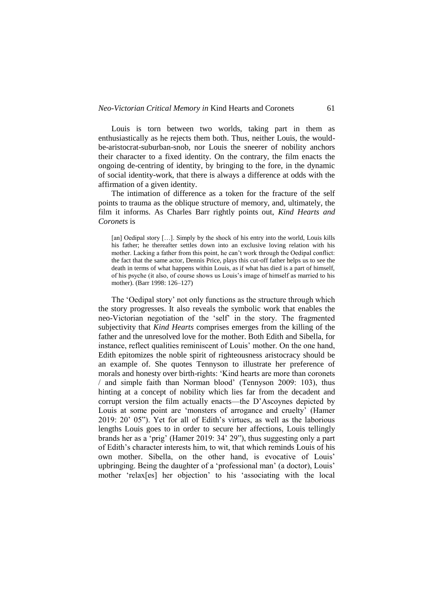Louis is torn between two worlds, taking part in them as enthusiastically as he rejects them both. Thus, neither Louis, the wouldbe-aristocrat-suburban-snob, nor Louis the sneerer of nobility anchors their character to a fixed identity. On the contrary, the film enacts the ongoing de-centring of identity, by bringing to the fore, in the dynamic of social identity-work, that there is always a difference at odds with the affirmation of a given identity.

The intimation of difference as a token for the fracture of the self points to trauma as the oblique structure of memory, and, ultimately, the film it informs. As Charles Barr rightly points out, *Kind Hearts and Coronets* is

[an] Oedipal story [...]. Simply by the shock of his entry into the world, Louis kills his father; he thereafter settles down into an exclusive loving relation with his mother. Lacking a father from this point, he can't work through the Oedipal conflict: the fact that the same actor, Dennis Price, plays this cut-off father helps us to see the death in terms of what happens within Louis, as if what has died is a part of himself, of his psyche (it also, of course shows us Louis's image of himself as married to his mother). (Barr 1998: 126–127)

The 'Oedipal story' not only functions as the structure through which the story progresses. It also reveals the symbolic work that enables the neo-Victorian negotiation of the 'self' in the story. The fragmented subjectivity that *Kind Hearts* comprises emerges from the killing of the father and the unresolved love for the mother. Both Edith and Sibella, for instance, reflect qualities reminiscent of Louis' mother. On the one hand, Edith epitomizes the noble spirit of righteousness aristocracy should be an example of. She quotes Tennyson to illustrate her preference of morals and honesty over birth-rights: 'Kind hearts are more than coronets / and simple faith than Norman blood' (Tennyson 2009: 103), thus hinting at a concept of nobility which lies far from the decadent and corrupt version the film actually enacts—the D'Ascoynes depicted by Louis at some point are 'monsters of arrogance and cruelty' (Hamer 2019: 20' 05"). Yet for all of Edith's virtues, as well as the laborious lengths Louis goes to in order to secure her affections, Louis tellingly brands her as a 'prig' (Hamer 2019: 34' 29"), thus suggesting only a part of Edith's character interests him, to wit, that which reminds Louis of his own mother. Sibella, on the other hand, is evocative of Louis' upbringing. Being the daughter of a 'professional man' (a doctor), Louis' mother 'relax[es] her objection' to his 'associating with the local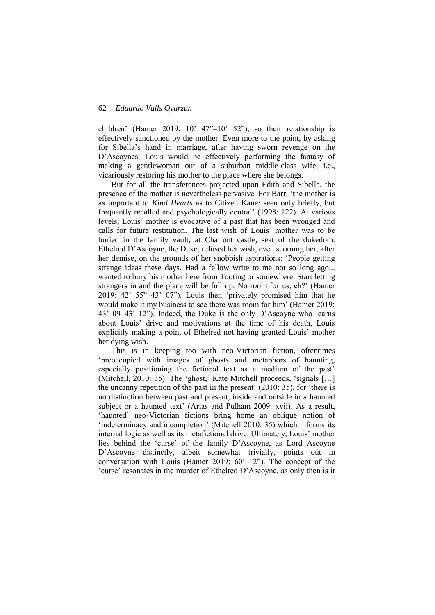children' (Hamer 2019: 10' 47"–10' 52"), so their relationship is effectively sanctioned by the mother. Even more to the point, by asking for Sibella's hand in marriage, after having sworn revenge on the D'Ascoynes, Louis would be effectively performing the fantasy of making a gentlewoman out of a suburban middle-class wife, i.e., vicariously restoring his mother to the place where she belongs.

But for all the transferences projected upon Edith and Sibella, the presence of the mother is nevertheless pervasive. For Barr, 'the mother is as important to *Kind Hearts* as to Citizen Kane: seen only briefly, but frequently recalled and psychologically central' (1998: 122). At various levels, Louis' mother is evocative of a past that has been wronged and calls for future restitution. The last wish of Louis' mother was to be buried in the family vault, at Chalfont castle, seat of the dukedom. Ethelred D'Ascoyne, the Duke, refused her wish, even scorning her, after her demise, on the grounds of her snobbish aspirations: 'People getting strange ideas these days. Had a fellow write to me not so long ago... wanted to bury his mother here from Tooting or somewhere. Start letting strangers in and the place will be full up. No room for us, eh?' (Hamer 2019: 42' 55"–43' 07"). Louis then 'privately promised him that he would make it my business to see there was room for him' (Hamer 2019: 43' 09–43' 12"). Indeed, the Duke is the only D'Ascoyne who learns about Louis' drive and motivations at the time of his death, Louis explicitly making a point of Ethelred not having granted Louis' mother her dying wish.

This is in keeping too with neo-Victorian fiction, oftentimes 'preoccupied with images of ghosts and metaphors of haunting, especially positioning the fictional text as a medium of the past' (Mitchell, 2010: 35). The 'ghost,' Kate Mitchell proceeds, 'signals […] the uncanny repetition of the past in the present' (2010: 35), for 'there is no distinction between past and present, inside and outside in a haunted subject or a haunted text' (Arias and Pulham 2009: xvii). As a result, 'haunted' neo-Victorian fictions bring home an oblique notion of 'indeterminacy and incompletion' (Mitchell 2010: 35) which informs its internal logic as well as its metafictional drive. Ultimately, Louis' mother lies behind the 'curse' of the family D'Ascoyne, as Lord Ascoyne D'Ascoyne distinctly, albeit somewhat trivially, points out in conversation with Louis (Hamer 2019: 60' 12"). The concept of the 'curse' resonates in the murder of Ethelred D'Ascoyne, as only then is it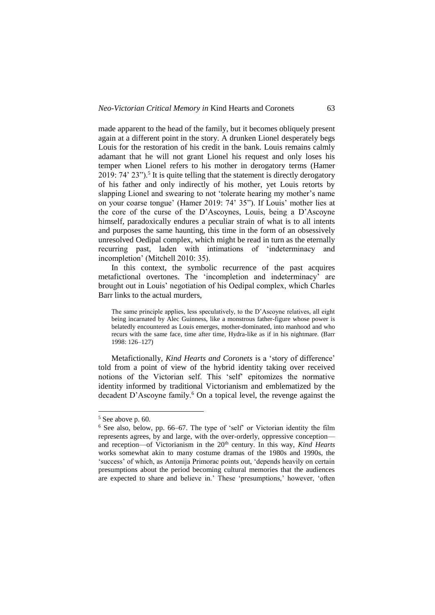made apparent to the head of the family, but it becomes obliquely present again at a different point in the story. A drunken Lionel desperately begs Louis for the restoration of his credit in the bank. Louis remains calmly adamant that he will not grant Lionel his request and only loses his temper when Lionel refers to his mother in derogatory terms (Hamer 2019: 74' 23").<sup>5</sup> It is quite telling that the statement is directly derogatory of his father and only indirectly of his mother, yet Louis retorts by slapping Lionel and swearing to not 'tolerate hearing my mother's name on your coarse tongue' (Hamer 2019: 74' 35"). If Louis' mother lies at the core of the curse of the D'Ascoynes, Louis, being a D'Ascoyne himself, paradoxically endures a peculiar strain of what is to all intents and purposes the same haunting, this time in the form of an obsessively unresolved Oedipal complex, which might be read in turn as the eternally recurring past, laden with intimations of 'indeterminacy and incompletion' (Mitchell 2010: 35).

In this context, the symbolic recurrence of the past acquires metafictional overtones. The 'incompletion and indeterminacy' are brought out in Louis' negotiation of his Oedipal complex, which Charles Barr links to the actual murders,

The same principle applies, less speculatively, to the D'Ascoyne relatives, all eight being incarnated by Alec Guinness, like a monstrous father-figure whose power is belatedly encountered as Louis emerges, mother-dominated, into manhood and who recurs with the same face, time after time, Hydra-like as if in his nightmare. (Barr 1998: 126–127)

Metafictionally, *Kind Hearts and Coronets* is a 'story of difference' told from a point of view of the hybrid identity taking over received notions of the Victorian self. This 'self' epitomizes the normative identity informed by traditional Victorianism and emblematized by the decadent D'Ascoyne family.<sup>6</sup> On a topical level, the revenge against the

1

 $5$  See above p. 60.

<sup>6</sup> See also, below, pp. 66–67. The type of 'self' or Victorian identity the film represents agrees, by and large, with the over-orderly, oppressive conception and reception—of Victorianism in the 20th century. In this way, *Kind Hearts* works somewhat akin to many costume dramas of the 1980s and 1990s, the 'success' of which, as Antonija Primorac points out, 'depends heavily on certain presumptions about the period becoming cultural memories that the audiences are expected to share and believe in.' These 'presumptions,' however, 'often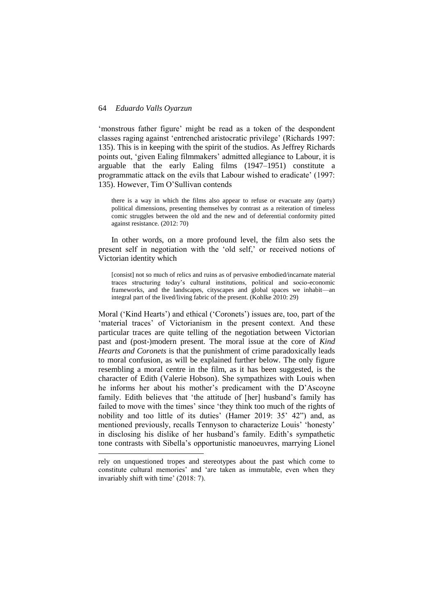1

'monstrous father figure' might be read as a token of the despondent classes raging against 'entrenched aristocratic privilege' (Richards 1997: 135). This is in keeping with the spirit of the studios. As Jeffrey Richards points out, 'given Ealing filmmakers' admitted allegiance to Labour, it is arguable that the early Ealing films (1947–1951) constitute a programmatic attack on the evils that Labour wished to eradicate' (1997: 135). However, Tim O'Sullivan contends

there is a way in which the films also appear to refuse or evacuate any (party) political dimensions, presenting themselves by contrast as a reiteration of timeless comic struggles between the old and the new and of deferential conformity pitted against resistance. (2012: 70)

In other words, on a more profound level, the film also sets the present self in negotiation with the 'old self,' or received notions of Victorian identity which

[consist] not so much of relics and ruins as of pervasive embodied/incarnate material traces structuring today's cultural institutions, political and socio-economic frameworks, and the landscapes, cityscapes and global spaces we inhabit—an integral part of the lived/living fabric of the present. (Kohlke 2010: 29)

Moral ('Kind Hearts') and ethical ('Coronets') issues are, too, part of the 'material traces' of Victorianism in the present context. And these particular traces are quite telling of the negotiation between Victorian past and (post-)modern present*.* The moral issue at the core of *Kind Hearts and Coronets* is that the punishment of crime paradoxically leads to moral confusion, as will be explained further below. The only figure resembling a moral centre in the film, as it has been suggested, is the character of Edith (Valerie Hobson). She sympathizes with Louis when he informs her about his mother's predicament with the D'Ascoyne family. Edith believes that 'the attitude of [her] husband's family has failed to move with the times' since 'they think too much of the rights of nobility and too little of its duties' (Hamer 2019: 35' 42") and, as mentioned previously, recalls Tennyson to characterize Louis' 'honesty' in disclosing his dislike of her husband's family. Edith's sympathetic tone contrasts with Sibella's opportunistic manoeuvres, marrying Lionel

rely on unquestioned tropes and stereotypes about the past which come to constitute cultural memories' and 'are taken as immutable, even when they invariably shift with time' (2018: 7).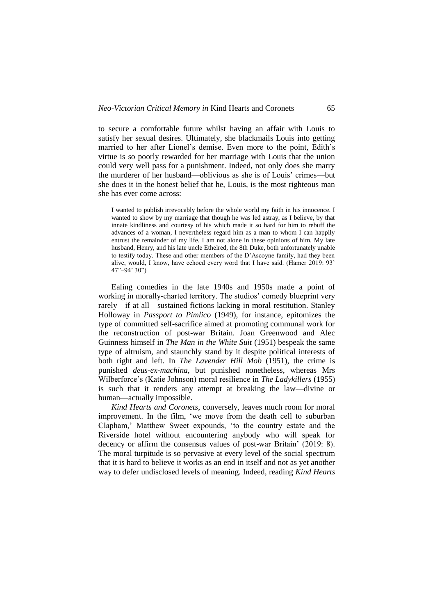to secure a comfortable future whilst having an affair with Louis to satisfy her sexual desires. Ultimately, she blackmails Louis into getting married to her after Lionel's demise. Even more to the point, Edith's virtue is so poorly rewarded for her marriage with Louis that the union could very well pass for a punishment. Indeed, not only does she marry the murderer of her husband—oblivious as she is of Louis' crimes—but she does it in the honest belief that he, Louis, is the most righteous man she has ever come across:

I wanted to publish irrevocably before the whole world my faith in his innocence. I wanted to show by my marriage that though he was led astray, as I believe, by that innate kindliness and courtesy of his which made it so hard for him to rebuff the advances of a woman, I nevertheless regard him as a man to whom I can happily entrust the remainder of my life. I am not alone in these opinions of him. My late husband, Henry, and his late uncle Ethelred, the 8th Duke, both unfortunately unable to testify today. These and other members of the D'Ascoyne family, had they been alive, would, I know, have echoed every word that I have said. (Hamer 2019: 93' 47"–94' 30")

Ealing comedies in the late 1940s and 1950s made a point of working in morally-charted territory. The studios' comedy blueprint very rarely—if at all—sustained fictions lacking in moral restitution. Stanley Holloway in *Passport to Pimlico* (1949), for instance, epitomizes the type of committed self-sacrifice aimed at promoting communal work for the reconstruction of post-war Britain. Joan Greenwood and Alec Guinness himself in *The Man in the White Suit* (1951) bespeak the same type of altruism, and staunchly stand by it despite political interests of both right and left. In *The Lavender Hill Mob* (1951), the crime is punished *deus-ex-machina*, but punished nonetheless, whereas Mrs Wilberforce's (Katie Johnson) moral resilience in *The Ladykillers* (1955) is such that it renders any attempt at breaking the law—divine or human—actually impossible.

*Kind Hearts and Coronets*, conversely, leaves much room for moral improvement. In the film, 'we move from the death cell to suburban Clapham,' Matthew Sweet expounds, 'to the country estate and the Riverside hotel without encountering anybody who will speak for decency or affirm the consensus values of post-war Britain' (2019: 8). The moral turpitude is so pervasive at every level of the social spectrum that it is hard to believe it works as an end in itself and not as yet another way to defer undisclosed levels of meaning. Indeed, reading *Kind Hearts*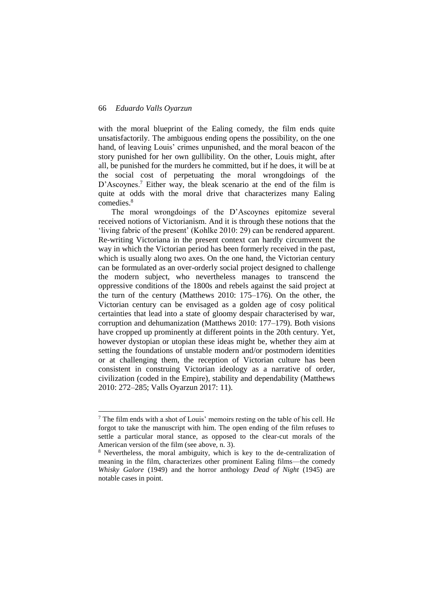1

with the moral blueprint of the Ealing comedy, the film ends quite unsatisfactorily. The ambiguous ending opens the possibility, on the one hand, of leaving Louis' crimes unpunished, and the moral beacon of the story punished for her own gullibility. On the other, Louis might, after all, be punished for the murders he committed, but if he does, it will be at the social cost of perpetuating the moral wrongdoings of the D'Ascoynes.<sup>7</sup> Either way, the bleak scenario at the end of the film is quite at odds with the moral drive that characterizes many Ealing comedies.<sup>8</sup>

The moral wrongdoings of the D'Ascoynes epitomize several received notions of Victorianism. And it is through these notions that the 'living fabric of the present' (Kohlke 2010: 29) can be rendered apparent. Re-writing Victoriana in the present context can hardly circumvent the way in which the Victorian period has been formerly received in the past, which is usually along two axes. On the one hand, the Victorian century can be formulated as an over-orderly social project designed to challenge the modern subject, who nevertheless manages to transcend the oppressive conditions of the 1800s and rebels against the said project at the turn of the century (Matthews 2010: 175–176). On the other, the Victorian century can be envisaged as a golden age of cosy political certainties that lead into a state of gloomy despair characterised by war, corruption and dehumanization (Matthews 2010: 177–179). Both visions have cropped up prominently at different points in the 20th century. Yet, however dystopian or utopian these ideas might be, whether they aim at setting the foundations of unstable modern and/or postmodern identities or at challenging them, the reception of Victorian culture has been consistent in construing Victorian ideology as a narrative of order, civilization (coded in the Empire), stability and dependability (Matthews 2010: 272–285; Valls Oyarzun 2017: 11).

<sup>7</sup> The film ends with a shot of Louis' memoirs resting on the table of his cell. He forgot to take the manuscript with him. The open ending of the film refuses to settle a particular moral stance, as opposed to the clear-cut morals of the American version of the film (see above, n. 3).

<sup>8</sup> Nevertheless, the moral ambiguity, which is key to the de-centralization of meaning in the film, characterizes other prominent Ealing films—the comedy *Whisky Galore* (1949) and the horror anthology *Dead of Night* (1945) are notable cases in point.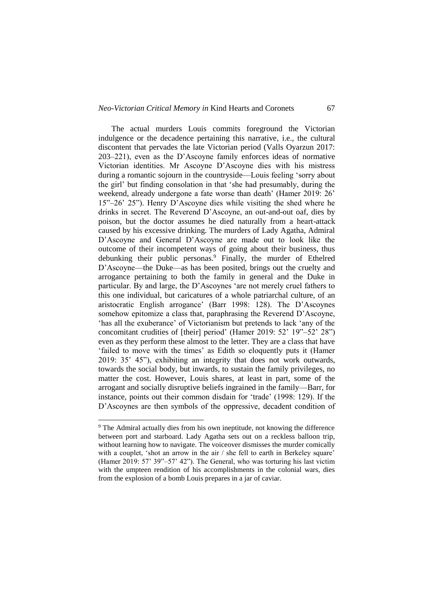The actual murders Louis commits foreground the Victorian indulgence or the decadence pertaining this narrative, i.e., the cultural discontent that pervades the late Victorian period (Valls Oyarzun 2017: 203–221), even as the D'Ascoyne family enforces ideas of normative Victorian identities. Mr Ascoyne D'Ascoyne dies with his mistress during a romantic sojourn in the countryside—Louis feeling 'sorry about the girl' but finding consolation in that 'she had presumably, during the weekend, already undergone a fate worse than death' (Hamer 2019: 26' 15"–26' 25"). Henry D'Ascoyne dies while visiting the shed where he drinks in secret. The Reverend D'Ascoyne, an out-and-out oaf, dies by poison, but the doctor assumes he died naturally from a heart-attack caused by his excessive drinking. The murders of Lady Agatha, Admiral D'Ascoyne and General D'Ascoyne are made out to look like the outcome of their incompetent ways of going about their business, thus debunking their public personas.<sup>9</sup> Finally, the murder of Ethelred D'Ascoyne—the Duke—as has been posited, brings out the cruelty and arrogance pertaining to both the family in general and the Duke in particular. By and large, the D'Ascoynes 'are not merely cruel fathers to this one individual, but caricatures of a whole patriarchal culture, of an aristocratic English arrogance' (Barr 1998: 128). The D'Ascoynes somehow epitomize a class that, paraphrasing the Reverend D'Ascoyne, 'has all the exuberance' of Victorianism but pretends to lack 'any of the concomitant crudities of [their] period' (Hamer 2019: 52' 19"–52' 28") even as they perform these almost to the letter. They are a class that have 'failed to move with the times' as Edith so eloquently puts it (Hamer 2019: 35' 45"), exhibiting an integrity that does not work outwards, towards the social body, but inwards, to sustain the family privileges, no matter the cost. However, Louis shares, at least in part, some of the arrogant and socially disruptive beliefs ingrained in the family—Barr, for instance, points out their common disdain for 'trade' (1998: 129). If the D'Ascoynes are then symbols of the oppressive, decadent condition of

-

<sup>&</sup>lt;sup>9</sup> The Admiral actually dies from his own ineptitude, not knowing the difference between port and starboard. Lady Agatha sets out on a reckless balloon trip, without learning how to navigate. The voiceover dismisses the murder comically with a couplet, 'shot an arrow in the air  $\ell$  she fell to earth in Berkeley square' (Hamer 2019: 57' 39"–57' 42"). The General, who was torturing his last victim with the umpteen rendition of his accomplishments in the colonial wars, dies from the explosion of a bomb Louis prepares in a jar of caviar.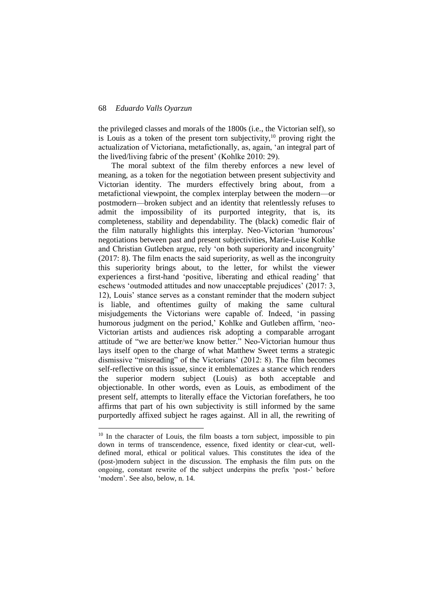1

the privileged classes and morals of the 1800s (i.e., the Victorian self), so is Louis as a token of the present torn subjectivity, $10$  proving right the actualization of Victoriana, metafictionally, as, again, 'an integral part of the lived/living fabric of the present' (Kohlke 2010: 29).

The moral subtext of the film thereby enforces a new level of meaning, as a token for the negotiation between present subjectivity and Victorian identity. The murders effectively bring about, from a metafictional viewpoint, the complex interplay between the modern—or postmodern—broken subject and an identity that relentlessly refuses to admit the impossibility of its purported integrity, that is, its completeness, stability and dependability. The (black) comedic flair of the film naturally highlights this interplay. Neo-Victorian 'humorous' negotiations between past and present subjectivities, Marie-Luise Kohlke and Christian Gutleben argue, rely 'on both superiority and incongruity' (2017: 8). The film enacts the said superiority, as well as the incongruity this superiority brings about, to the letter, for whilst the viewer experiences a first-hand 'positive, liberating and ethical reading' that eschews 'outmoded attitudes and now unacceptable prejudices' (2017: 3, 12), Louis' stance serves as a constant reminder that the modern subject is liable, and oftentimes guilty of making the same cultural misjudgements the Victorians were capable of. Indeed, 'in passing humorous judgment on the period,' Kohlke and Gutleben affirm, 'neo-Victorian artists and audiences risk adopting a comparable arrogant attitude of "we are better/we know better." Neo-Victorian humour thus lays itself open to the charge of what Matthew Sweet terms a strategic dismissive "misreading" of the Victorians' (2012: 8). The film becomes self-reflective on this issue, since it emblematizes a stance which renders the superior modern subject (Louis) as both acceptable and objectionable. In other words, even as Louis, as embodiment of the present self, attempts to literally efface the Victorian forefathers, he too affirms that part of his own subjectivity is still informed by the same purportedly affixed subject he rages against. All in all, the rewriting of

<sup>&</sup>lt;sup>10</sup> In the character of Louis, the film boasts a torn subject, impossible to pin down in terms of transcendence, essence, fixed identity or clear-cut, welldefined moral, ethical or political values. This constitutes the idea of the (post-)modern subject in the discussion. The emphasis the film puts on the ongoing, constant rewrite of the subject underpins the prefix 'post-' before 'modern'. See also, below, n. 14.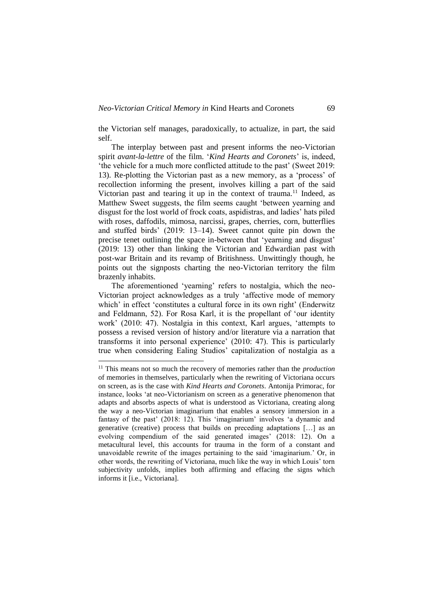the Victorian self manages, paradoxically, to actualize, in part, the said self.

The interplay between past and present informs the neo-Victorian spirit *avant-la-lettre* of the film. '*Kind Hearts and Coronets*' is, indeed, 'the vehicle for a much more conflicted attitude to the past' (Sweet 2019: 13). Re-plotting the Victorian past as a new memory, as a 'process' of recollection informing the present, involves killing a part of the said Victorian past and tearing it up in the context of trauma.<sup>11</sup> Indeed, as Matthew Sweet suggests, the film seems caught 'between yearning and disgust for the lost world of frock coats, aspidistras, and ladies' hats piled with roses, daffodils, mimosa, narcissi, grapes, cherries, corn, butterflies and stuffed birds' (2019: 13–14). Sweet cannot quite pin down the precise tenet outlining the space in-between that 'yearning and disgust' (2019: 13) other than linking the Victorian and Edwardian past with post-war Britain and its revamp of Britishness. Unwittingly though, he points out the signposts charting the neo-Victorian territory the film brazenly inhabits.

The aforementioned 'yearning' refers to nostalgia, which the neo-Victorian project acknowledges as a truly 'affective mode of memory which' in effect 'constitutes a cultural force in its own right' (Enderwitz and Feldmann, 52). For Rosa Karl, it is the propellant of 'our identity work' (2010: 47). Nostalgia in this context, Karl argues, 'attempts to possess a revised version of history and/or literature via a narration that transforms it into personal experience' (2010: 47). This is particularly true when considering Ealing Studios' capitalization of nostalgia as a

-

<sup>11</sup> This means not so much the recovery of memories rather than the *production* of memories in themselves, particularly when the rewriting of Victoriana occurs on screen, as is the case with *Kind Hearts and Coronets*. Antonija Primorac, for instance, looks 'at neo-Victorianism on screen as a generative phenomenon that adapts and absorbs aspects of what is understood as Victoriana, creating along the way a neo-Victorian imaginarium that enables a sensory immersion in a fantasy of the past' (2018: 12). This 'imaginarium' involves 'a dynamic and generative (creative) process that builds on preceding adaptations […] as an evolving compendium of the said generated images' (2018: 12). On a metacultural level, this accounts for trauma in the form of a constant and unavoidable rewrite of the images pertaining to the said 'imaginarium.' Or, in other words, the rewriting of Victoriana, much like the way in which Louis' torn subjectivity unfolds, implies both affirming and effacing the signs which informs it [i.e., Victoriana].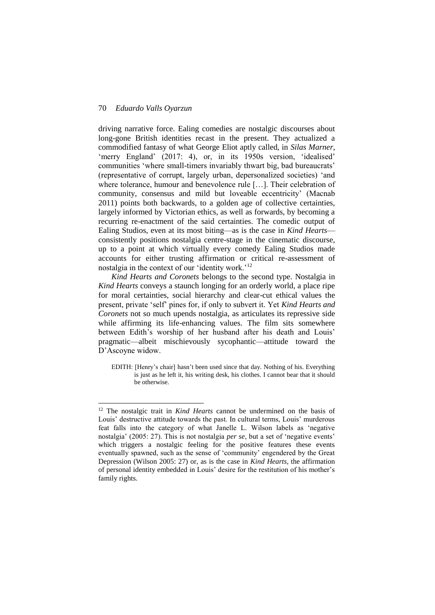1

driving narrative force. Ealing comedies are nostalgic discourses about long-gone British identities recast in the present. They actualized a commodified fantasy of what George Eliot aptly called, in *Silas Marner*, 'merry England' (2017: 4), or, in its 1950s version, 'idealised' communities 'where small-timers invariably thwart big, bad bureaucrats' (representative of corrupt, largely urban, depersonalized societies) 'and where tolerance, humour and benevolence rule […]. Their celebration of community, consensus and mild but loveable eccentricity' (Macnab 2011) points both backwards, to a golden age of collective certainties, largely informed by Victorian ethics, as well as forwards, by becoming a recurring re-enactment of the said certainties. The comedic output of Ealing Studios, even at its most biting—as is the case in *Kind Hearts* consistently positions nostalgia centre-stage in the cinematic discourse, up to a point at which virtually every comedy Ealing Studios made accounts for either trusting affirmation or critical re-assessment of nostalgia in the context of our 'identity work.'<sup>12</sup>

*Kind Hearts and Coronets* belongs to the second type. Nostalgia in *Kind Hearts* conveys a staunch longing for an orderly world, a place ripe for moral certainties, social hierarchy and clear-cut ethical values the present, private 'self' pines for, if only to subvert it. Yet *Kind Hearts and Coronets* not so much upends nostalgia, as articulates its repressive side while affirming its life-enhancing values. The film sits somewhere between Edith's worship of her husband after his death and Louis' pragmatic—albeit mischievously sycophantic—attitude toward the D'Ascoyne widow.

EDITH: [Henry's chair] hasn't been used since that day. Nothing of his. Everything is just as he left it, his writing desk, his clothes. I cannot bear that it should be otherwise.

<sup>12</sup> The nostalgic trait in *Kind Hearts* cannot be undermined on the basis of Louis' destructive attitude towards the past. In cultural terms, Louis' murderous feat falls into the category of what Janelle L. Wilson labels as 'negative nostalgia' (2005: 27). This is not nostalgia *per se*, but a set of 'negative events' which triggers a nostalgic feeling for the positive features these events eventually spawned, such as the sense of 'community' engendered by the Great Depression (Wilson 2005: 27) or, as is the case in *Kind Hearts*, the affirmation of personal identity embedded in Louis' desire for the restitution of his mother's family rights.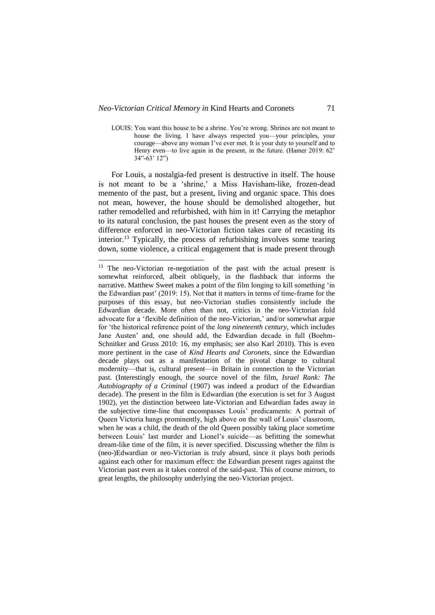-

For Louis, a nostalgia-fed present is destructive in itself. The house is not meant to be a 'shrine,' a Miss Havisham-like, frozen-dead memento of the past, but a present, living and organic space. This does not mean, however, the house should be demolished altogether, but rather remodelled and refurbished, with him in it! Carrying the metaphor to its natural conclusion, the past houses the present even as the story of difference enforced in neo-Victorian fiction takes care of recasting its interior.<sup>13</sup> Typically, the process of refurbishing involves some tearing down, some violence, a critical engagement that is made present through

LOUIS: You want this house to be a shrine. You're wrong. Shrines are not meant to house the living. I have always respected you—your principles, your courage—above any woman I've ever met. It is your duty to yourself and to Henry even—to live again in the present, in the future. (Hamer 2019: 62' 34"-63' 12")

 $13$  The neo-Victorian re-negotiation of the past with the actual present is somewhat reinforced, albeit obliquely, in the flashback that informs the narrative. Matthew Sweet makes a point of the film longing to kill something 'in the Edwardian past' (2019: 15). Not that it matters in terms of time-frame for the purposes of this essay, but neo-Victorian studies consistently include the Edwardian decade. More often than not, critics in the neo-Victorian fold advocate for a 'flexible definition of the neo-Victorian,' and/or somewhat argue for 'the historical reference point of the *long nineteenth century*, which includes Jane Austen' and, one should add, the Edwardian decade in full (Boehm-Schnitker and Gruss 2010: 16, my emphasis; see also Karl 2010). This is even more pertinent in the case of *Kind Hearts and Coronets*, since the Edwardian decade plays out as a manifestation of the pivotal change to cultural modernity—that is, cultural present—in Britain in connection to the Victorian past. (Interestingly enough, the source novel of the film, *Israel Rank: The Autobiography of a Criminal* (1907) was indeed a product of the Edwardian decade). The present in the film is Edwardian (the execution is set for 3 August 1902), yet the distinction between late-Victorian and Edwardian fades away in the subjective time-line that encompasses Louis' predicaments: A portrait of Queen Victoria hangs prominently, high above on the wall of Louis' classroom, when he was a child, the death of the old Queen possibly taking place sometime between Louis' last murder and Lionel's suicide—as befitting the somewhat dream-like time of the film, it is never specified. Discussing whether the film is (neo-)Edwardian or neo-Victorian is truly absurd, since it plays both periods against each other for maximum effect: the Edwardian present rages against the Victorian past even as it takes control of the said-past. This of course mirrors, to great lengths, the philosophy underlying the neo-Victorian project.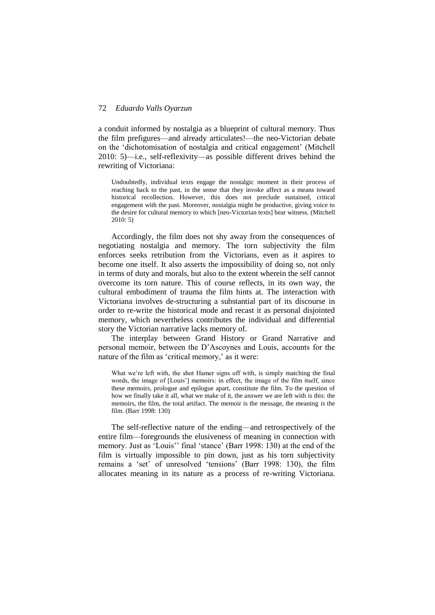a conduit informed by nostalgia as a blueprint of cultural memory. Thus the film prefigures—and already articulates!—the neo-Victorian debate on the 'dichotomisation of nostalgia and critical engagement' (Mitchell 2010: 5)—i.e., self-reflexivity—as possible different drives behind the rewriting of Victoriana:

Undoubtedly, individual texts engage the nostalgic moment in their process of reaching back to the past, in the sense that they invoke affect as a means toward historical recollection. However, this does not preclude sustained, critical engagement with the past. Moreover, nostalgia might be productive, giving voice to the desire for cultural memory to which [neo-Victorian texts] bear witness. (Mitchell 2010: 5)

Accordingly, the film does not shy away from the consequences of negotiating nostalgia and memory. The torn subjectivity the film enforces seeks retribution from the Victorians, even as it aspires to become one itself. It also asserts the impossibility of doing so, not only in terms of duty and morals, but also to the extent wherein the self cannot overcome its torn nature. This of course reflects, in its own way, the cultural embodiment of trauma the film hints at. The interaction with Victoriana involves de-structuring a substantial part of its discourse in order to re-write the historical mode and recast it as personal disjointed memory, which nevertheless contributes the individual and differential story the Victorian narrative lacks memory of.

The interplay between Grand History or Grand Narrative and personal memoir, between the D'Ascoynes and Louis, accounts for the nature of the film as 'critical memory,' as it were:

What we're left with, the shot Hamer signs off with, is simply matching the final words, the image of [Louis'] memoirs: in effect, the image of the film itself, since these memoirs, prologue and epilogue apart, constitute the film. To the question of how we finally take it all, what we make of it, the answer we are left with is this: the memoirs, the film, the total artifact. The memoir is the message, the meaning *is* the film. (Barr 1998: 130)

The self-reflective nature of the ending—and retrospectively of the entire film—foregrounds the elusiveness of meaning in connection with memory. Just as 'Louis'' final 'stance' (Barr 1998: 130) at the end of the film is virtually impossible to pin down, just as his torn subjectivity remains a 'set' of unresolved 'tensions' (Barr 1998: 130), the film allocates meaning in its nature as a process of re-writing Victoriana.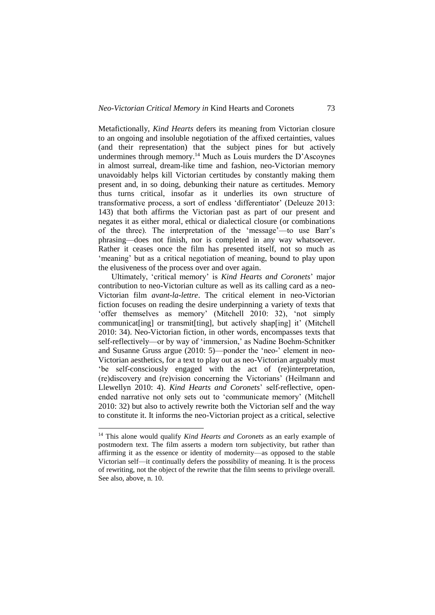Metafictionally, *Kind Hearts* defers its meaning from Victorian closure to an ongoing and insoluble negotiation of the affixed certainties, values (and their representation) that the subject pines for but actively undermines through memory.<sup>14</sup> Much as Louis murders the D'Ascoynes in almost surreal, dream-like time and fashion, neo-Victorian memory unavoidably helps kill Victorian certitudes by constantly making them present and, in so doing, debunking their nature as certitudes. Memory thus turns critical, insofar as it underlies its own structure of transformative process, a sort of endless 'differentiator' (Deleuze 2013: 143) that both affirms the Victorian past as part of our present and negates it as either moral, ethical or dialectical closure (or combinations of the three). The interpretation of the 'message'—to use Barr's phrasing—does not finish, nor is completed in any way whatsoever. Rather it ceases once the film has presented itself, not so much as 'meaning' but as a critical negotiation of meaning, bound to play upon the elusiveness of the process over and over again.

Ultimately, 'critical memory' is *Kind Hearts and Coronets*' major contribution to neo-Victorian culture as well as its calling card as a neo-Victorian film *avant-la-lettre*. The critical element in neo-Victorian fiction focuses on reading the desire underpinning a variety of texts that 'offer themselves as memory' (Mitchell 2010: 32), 'not simply communicat[ing] or transmit[ting], but actively shap[ing] it' (Mitchell 2010: 34). Neo-Victorian fiction, in other words, encompasses texts that self-reflectively—or by way of 'immersion,' as Nadine Boehm-Schnitker and Susanne Gruss argue (2010: 5)—ponder the 'neo-' element in neo-Victorian aesthetics, for a text to play out as neo-Victorian arguably must 'be self-consciously engaged with the act of (re)interpretation, (re)discovery and (re)vision concerning the Victorians' (Heilmann and Llewellyn 2010: 4). *Kind Hearts and Coronets*' self-reflective, openended narrative not only sets out to 'communicate memory' (Mitchell 2010: 32) but also to actively rewrite both the Victorian self and the way to constitute it. It informs the neo-Victorian project as a critical, selective

1

<sup>&</sup>lt;sup>14</sup> This alone would qualify *Kind Hearts and Coronets* as an early example of postmodern text. The film asserts a modern torn subjectivity, but rather than affirming it as the essence or identity of modernity—as opposed to the stable Victorian self—it continually defers the possibility of meaning. It is the process of rewriting, not the object of the rewrite that the film seems to privilege overall. See also, above, n. 10.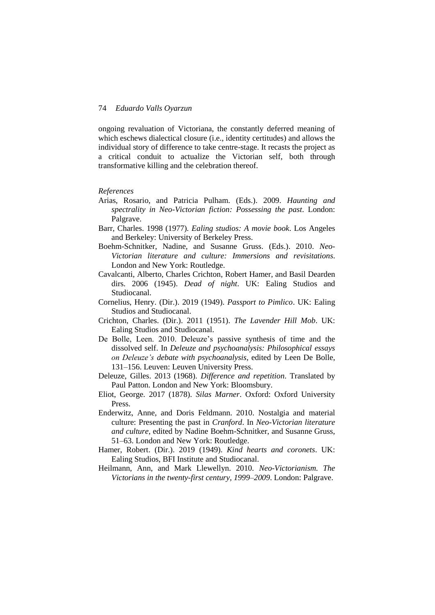ongoing revaluation of Victoriana, the constantly deferred meaning of which eschews dialectical closure (i.e., identity certitudes) and allows the individual story of difference to take centre-stage. It recasts the project as a critical conduit to actualize the Victorian self, both through transformative killing and the celebration thereof.

### *References*

- Arias, Rosario, and Patricia Pulham. (Eds.). 2009. *Haunting and spectrality in Neo-Victorian fiction: Possessing the past*. London: Palgrave.
- Barr, Charles. 1998 (1977). *Ealing studios: A movie book*. Los Angeles and Berkeley: University of Berkeley Press.
- Boehm-Schnitker, Nadine, and Susanne Gruss. (Eds.). 2010. *Neo-Victorian literature and culture: Immersions and revisitations*. London and New York: Routledge.
- Cavalcanti, Alberto, Charles Crichton, Robert Hamer, and Basil Dearden dirs. 2006 (1945). *Dead of night*. UK: Ealing Studios and Studiocanal.
- Cornelius, Henry. (Dir.). 2019 (1949). *Passport to Pimlico*. UK: Ealing Studios and Studiocanal.
- Crichton, Charles. (Dir.). 2011 (1951). *The Lavender Hill Mob*. UK: Ealing Studios and Studiocanal.
- De Bolle, Leen. 2010. Deleuze's passive synthesis of time and the dissolved self. In *Deleuze and psychoanalysis: Philosophical essays on Deleuze's debate with psychoanalysis*, edited by Leen De Bolle, 131–156. Leuven: Leuven University Press.
- Deleuze, Gilles. 2013 (1968). *Difference and repetition*. Translated by Paul Patton. London and New York: Bloomsbury.
- Eliot, George. 2017 (1878). *Silas Marner*. Oxford: Oxford University Press.
- Enderwitz, Anne, and Doris Feldmann. 2010. Nostalgia and material culture: Presenting the past in *Cranford*. In *Neo-Victorian literature and culture*, edited by Nadine Boehm-Schnitker, and Susanne Gruss, 51–63. London and New York: Routledge.
- Hamer, Robert. (Dir.). 2019 (1949). *Kind hearts and coronets*. UK: Ealing Studios, BFI Institute and Studiocanal.
- Heilmann, Ann, and Mark Llewellyn. 2010. *Neo-Victorianism. The Victorians in the twenty-first century, 1999*–*2009*. London: Palgrave.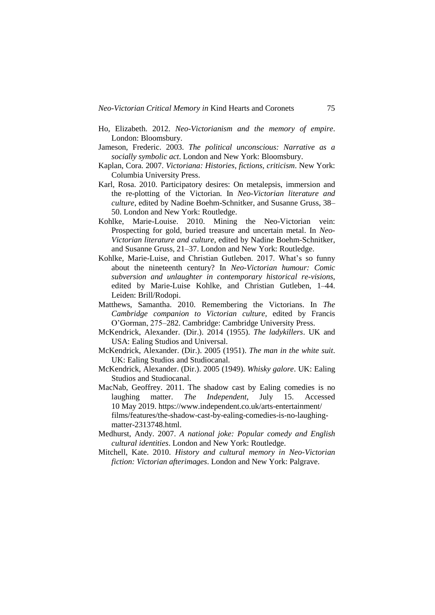- Ho, Elizabeth. 2012. *Neo-Victorianism and the memory of empire*. London: Bloomsbury.
- Jameson, Frederic. 2003. *The political unconscious: Narrative as a socially symbolic act*. London and New York: Bloomsbury.
- Kaplan, Cora. 2007. *Victoriana: Histories, fictions, criticism*. New York: Columbia University Press.
- Karl, Rosa. 2010. Participatory desires: On metalepsis, immersion and the re-plotting of the Victorian. In *Neo-Victorian literature and culture*, edited by Nadine Boehm-Schnitker, and Susanne Gruss, 38– 50. London and New York: Routledge.
- Kohlke, Marie-Louise. 2010. Mining the Neo-Victorian vein: Prospecting for gold, buried treasure and uncertain metal. In *Neo-Victorian literature and culture*, edited by Nadine Boehm-Schnitker, and Susanne Gruss, 21–37. London and New York: Routledge.
- Kohlke, Marie-Luise, and Christian Gutleben. 2017. What's so funny about the nineteenth century? In *Neo-Victorian humour: Comic subversion and unlaughter in contemporary historical re-visions*, edited by Marie-Luise Kohlke, and Christian Gutleben, 1–44. Leiden: Brill/Rodopi.
- Matthews, Samantha. 2010. Remembering the Victorians. In *The Cambridge companion to Victorian culture*, edited by Francis O'Gorman, 275–282. Cambridge: Cambridge University Press.
- McKendrick, Alexander. (Dir.). 2014 (1955). *The ladykillers*. UK and USA: Ealing Studios and Universal.
- McKendrick, Alexander. (Dir.). 2005 (1951). *The man in the white suit*. UK: Ealing Studios and Studiocanal.
- McKendrick, Alexander. (Dir.). 2005 (1949). *Whisky galore*. UK: Ealing Studios and Studiocanal.
- MacNab, Geoffrey. 2011. The shadow cast by Ealing comedies is no laughing matter. *The Independent*, July 15. Accessed 10 May 2019. https://www.independent.co.uk/arts-entertainment/ films/features/the-shadow-cast-by-ealing-comedies-is-no-laughingmatter-2313748.html.
- Medhurst, Andy. 2007. *A national joke: Popular comedy and English cultural identities*. London and New York: Routledge.
- Mitchell, Kate. 2010. *History and cultural memory in Neo-Victorian fiction: Victorian afterimages*. London and New York: Palgrave.